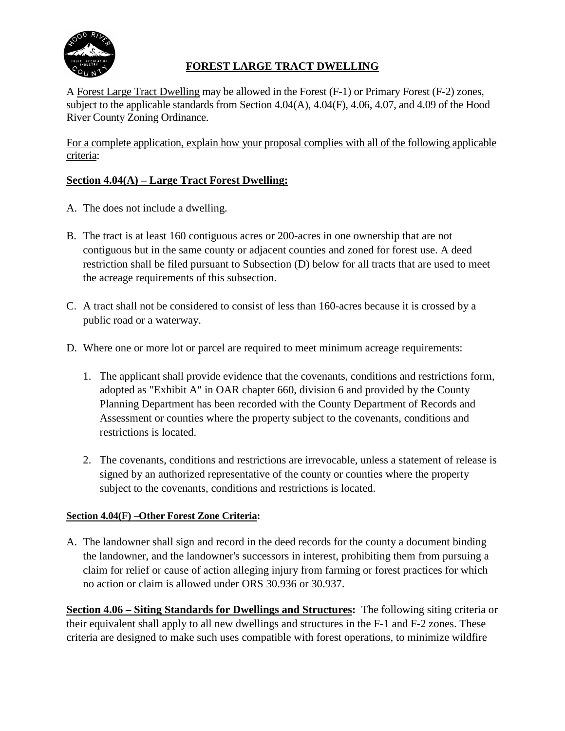

# **FOREST LARGE TRACT DWELLING**

A Forest Large Tract Dwelling may be allowed in the Forest (F-1) or Primary Forest (F-2) zones, subject to the applicable standards from Section 4.04(A), 4.04(F), 4.06, 4.07, and 4.09 of the Hood River County Zoning Ordinance.

For a complete application, explain how your proposal complies with all of the following applicable criteria:

## **Section 4.04(A) – Large Tract Forest Dwelling:**

- A. The does not include a dwelling.
- B. The tract is at least 160 contiguous acres or 200-acres in one ownership that are not contiguous but in the same county or adjacent counties and zoned for forest use. A deed restriction shall be filed pursuant to Subsection (D) below for all tracts that are used to meet the acreage requirements of this subsection.
- C. A tract shall not be considered to consist of less than 160-acres because it is crossed by a public road or a waterway.
- D. Where one or more lot or parcel are required to meet minimum acreage requirements:
	- 1. The applicant shall provide evidence that the covenants, conditions and restrictions form, adopted as "Exhibit A" in OAR chapter 660, division 6 and provided by the County Planning Department has been recorded with the County Department of Records and Assessment or counties where the property subject to the covenants, conditions and restrictions is located.
	- 2. The covenants, conditions and restrictions are irrevocable, unless a statement of release is signed by an authorized representative of the county or counties where the property subject to the covenants, conditions and restrictions is located.

### **Section 4.04(F) –Other Forest Zone Criteria:**

A. The landowner shall sign and record in the deed records for the county a document binding the landowner, and the landowner's successors in interest, prohibiting them from pursuing a claim for relief or cause of action alleging injury from farming or forest practices for which no action or claim is allowed under ORS 30.936 or 30.937.

**Section 4.06 – Siting Standards for Dwellings and Structures:** The following siting criteria or their equivalent shall apply to all new dwellings and structures in the F-1 and F-2 zones. These criteria are designed to make such uses compatible with forest operations, to minimize wildfire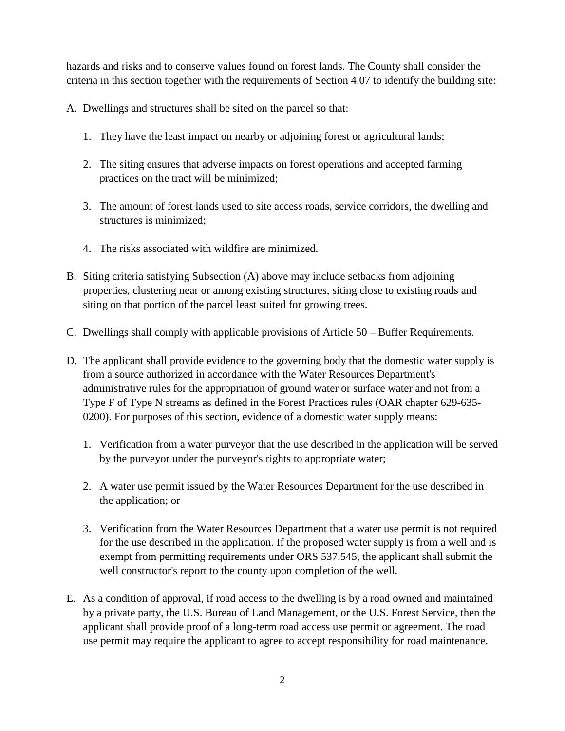hazards and risks and to conserve values found on forest lands. The County shall consider the criteria in this section together with the requirements of Section 4.07 to identify the building site:

A. Dwellings and structures shall be sited on the parcel so that:

- 1. They have the least impact on nearby or adjoining forest or agricultural lands;
- 2. The siting ensures that adverse impacts on forest operations and accepted farming practices on the tract will be minimized;
- 3. The amount of forest lands used to site access roads, service corridors, the dwelling and structures is minimized;
- 4. The risks associated with wildfire are minimized.
- B. Siting criteria satisfying Subsection (A) above may include setbacks from adjoining properties, clustering near or among existing structures, siting close to existing roads and siting on that portion of the parcel least suited for growing trees.
- C. Dwellings shall comply with applicable provisions of Article 50 Buffer Requirements.
- D. The applicant shall provide evidence to the governing body that the domestic water supply is from a source authorized in accordance with the Water Resources Department's administrative rules for the appropriation of ground water or surface water and not from a Type F of Type N streams as defined in the Forest Practices rules (OAR chapter 629-635- 0200). For purposes of this section, evidence of a domestic water supply means:
	- 1. Verification from a water purveyor that the use described in the application will be served by the purveyor under the purveyor's rights to appropriate water;
	- 2. A water use permit issued by the Water Resources Department for the use described in the application; or
	- 3. Verification from the Water Resources Department that a water use permit is not required for the use described in the application. If the proposed water supply is from a well and is exempt from permitting requirements under ORS 537.545, the applicant shall submit the well constructor's report to the county upon completion of the well.
- E. As a condition of approval, if road access to the dwelling is by a road owned and maintained by a private party, the U.S. Bureau of Land Management, or the U.S. Forest Service, then the applicant shall provide proof of a long-term road access use permit or agreement. The road use permit may require the applicant to agree to accept responsibility for road maintenance.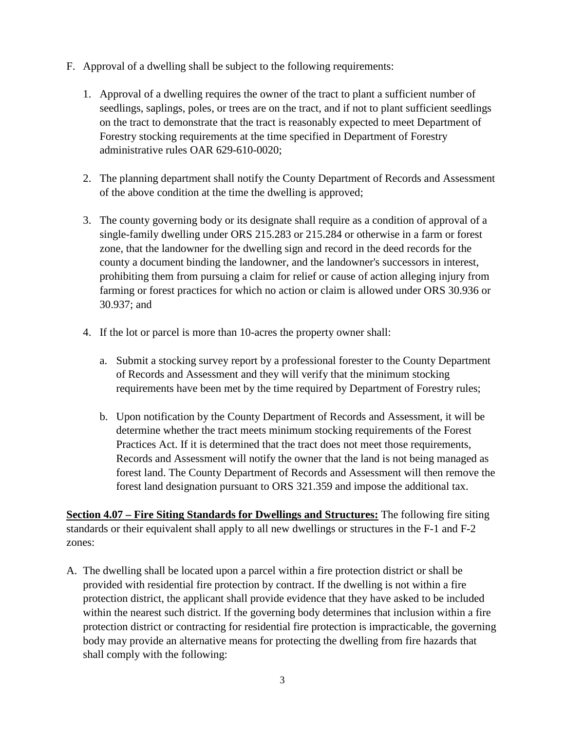- F. Approval of a dwelling shall be subject to the following requirements:
	- 1. Approval of a dwelling requires the owner of the tract to plant a sufficient number of seedlings, saplings, poles, or trees are on the tract, and if not to plant sufficient seedlings on the tract to demonstrate that the tract is reasonably expected to meet Department of Forestry stocking requirements at the time specified in Department of Forestry administrative rules OAR 629-610-0020;
	- 2. The planning department shall notify the County Department of Records and Assessment of the above condition at the time the dwelling is approved;
	- 3. The county governing body or its designate shall require as a condition of approval of a single-family dwelling under ORS 215.283 or 215.284 or otherwise in a farm or forest zone, that the landowner for the dwelling sign and record in the deed records for the county a document binding the landowner, and the landowner's successors in interest, prohibiting them from pursuing a claim for relief or cause of action alleging injury from farming or forest practices for which no action or claim is allowed under ORS 30.936 or 30.937; and
	- 4. If the lot or parcel is more than 10-acres the property owner shall:
		- a. Submit a stocking survey report by a professional forester to the County Department of Records and Assessment and they will verify that the minimum stocking requirements have been met by the time required by Department of Forestry rules;
		- b. Upon notification by the County Department of Records and Assessment, it will be determine whether the tract meets minimum stocking requirements of the Forest Practices Act. If it is determined that the tract does not meet those requirements, Records and Assessment will notify the owner that the land is not being managed as forest land. The County Department of Records and Assessment will then remove the forest land designation pursuant to ORS 321.359 and impose the additional tax.

**Section 4.07 – Fire Siting Standards for Dwellings and Structures:** The following fire siting standards or their equivalent shall apply to all new dwellings or structures in the F-1 and F-2 zones:

A. The dwelling shall be located upon a parcel within a fire protection district or shall be provided with residential fire protection by contract. If the dwelling is not within a fire protection district, the applicant shall provide evidence that they have asked to be included within the nearest such district. If the governing body determines that inclusion within a fire protection district or contracting for residential fire protection is impracticable, the governing body may provide an alternative means for protecting the dwelling from fire hazards that shall comply with the following: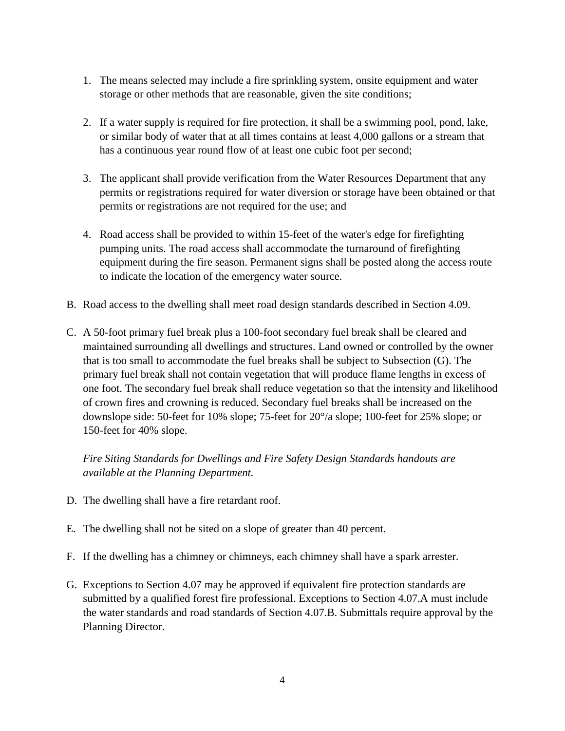- 1. The means selected may include a fire sprinkling system, onsite equipment and water storage or other methods that are reasonable, given the site conditions;
- 2. If a water supply is required for fire protection, it shall be a swimming pool, pond, lake, or similar body of water that at all times contains at least 4,000 gallons or a stream that has a continuous year round flow of at least one cubic foot per second;
- 3. The applicant shall provide verification from the Water Resources Department that any permits or registrations required for water diversion or storage have been obtained or that permits or registrations are not required for the use; and
- 4. Road access shall be provided to within 15-feet of the water's edge for firefighting pumping units. The road access shall accommodate the turnaround of firefighting equipment during the fire season. Permanent signs shall be posted along the access route to indicate the location of the emergency water source.
- B. Road access to the dwelling shall meet road design standards described in Section 4.09.
- C. A 50-foot primary fuel break plus a 100-foot secondary fuel break shall be cleared and maintained surrounding all dwellings and structures. Land owned or controlled by the owner that is too small to accommodate the fuel breaks shall be subject to Subsection (G). The primary fuel break shall not contain vegetation that will produce flame lengths in excess of one foot. The secondary fuel break shall reduce vegetation so that the intensity and likelihood of crown fires and crowning is reduced. Secondary fuel breaks shall be increased on the downslope side: 50-feet for 10% slope; 75-feet for 20°/a slope; 100-feet for 25% slope; or 150-feet for 40% slope.

*Fire Siting Standards for Dwellings and Fire Safety Design Standards handouts are available at the Planning Department.*

- D. The dwelling shall have a fire retardant roof.
- E. The dwelling shall not be sited on a slope of greater than 40 percent.
- F. If the dwelling has a chimney or chimneys, each chimney shall have a spark arrester.
- G. Exceptions to Section 4.07 may be approved if equivalent fire protection standards are submitted by a qualified forest fire professional. Exceptions to Section 4.07.A must include the water standards and road standards of Section 4.07.B. Submittals require approval by the Planning Director.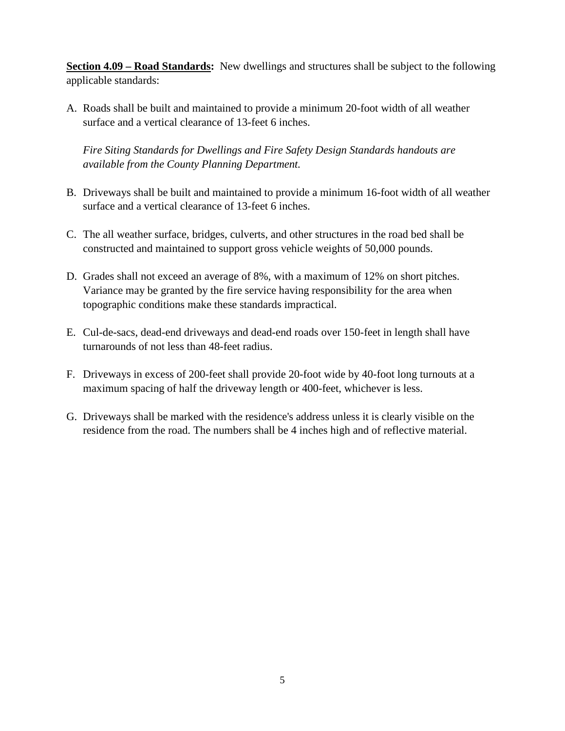**Section 4.09 – Road Standards:** New dwellings and structures shall be subject to the following applicable standards:

A. Roads shall be built and maintained to provide a minimum 20-foot width of all weather surface and a vertical clearance of 13-feet 6 inches.

*Fire Siting Standards for Dwellings and Fire Safety Design Standards handouts are available from the County Planning Department.*

- B. Driveways shall be built and maintained to provide a minimum 16-foot width of all weather surface and a vertical clearance of 13-feet 6 inches.
- C. The all weather surface, bridges, culverts, and other structures in the road bed shall be constructed and maintained to support gross vehicle weights of 50,000 pounds.
- D. Grades shall not exceed an average of 8%, with a maximum of 12% on short pitches. Variance may be granted by the fire service having responsibility for the area when topographic conditions make these standards impractical.
- E. Cul-de-sacs, dead-end driveways and dead-end roads over 150-feet in length shall have turnarounds of not less than 48-feet radius.
- F. Driveways in excess of 200-feet shall provide 20-foot wide by 40-foot long turnouts at a maximum spacing of half the driveway length or 400-feet, whichever is less.
- G. Driveways shall be marked with the residence's address unless it is clearly visible on the residence from the road. The numbers shall be 4 inches high and of reflective material.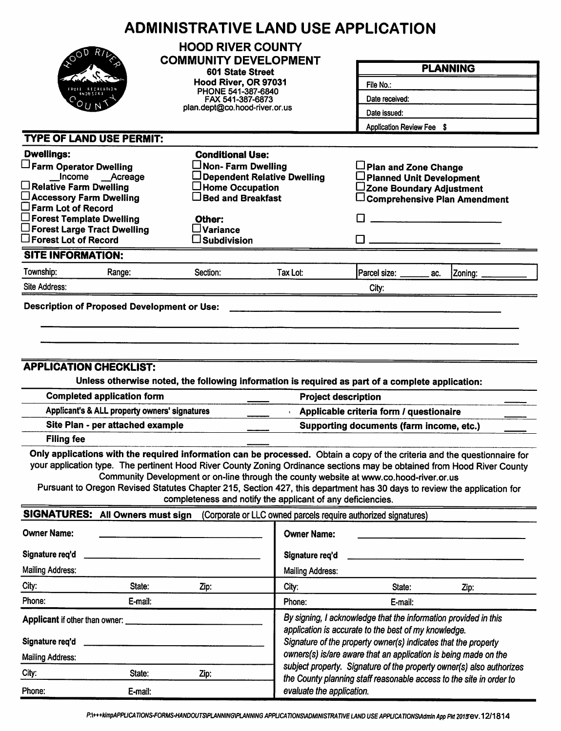|                                                                                                                                                                                                                                                    | <b>ADMINISTRATIVE LAND USE APPLICATION</b>                                                                                                                                                                                                                                                                                                                                                                             |                                                                                                                                                                                           |                                                                      |                                                                                     |  |  |  |
|----------------------------------------------------------------------------------------------------------------------------------------------------------------------------------------------------------------------------------------------------|------------------------------------------------------------------------------------------------------------------------------------------------------------------------------------------------------------------------------------------------------------------------------------------------------------------------------------------------------------------------------------------------------------------------|-------------------------------------------------------------------------------------------------------------------------------------------------------------------------------------------|----------------------------------------------------------------------|-------------------------------------------------------------------------------------|--|--|--|
|                                                                                                                                                                                                                                                    | <b>HOOD RIVER COUNTY</b><br><b>COMMUNITY DEVELOPMENT</b>                                                                                                                                                                                                                                                                                                                                                               |                                                                                                                                                                                           |                                                                      | <b>PLANNING</b>                                                                     |  |  |  |
|                                                                                                                                                                                                                                                    | 601 State Street                                                                                                                                                                                                                                                                                                                                                                                                       |                                                                                                                                                                                           |                                                                      |                                                                                     |  |  |  |
|                                                                                                                                                                                                                                                    | Hood River, OR 97031<br>PHONE 541-387-6840                                                                                                                                                                                                                                                                                                                                                                             |                                                                                                                                                                                           | File No.:                                                            |                                                                                     |  |  |  |
|                                                                                                                                                                                                                                                    | FAX 541-387-6873                                                                                                                                                                                                                                                                                                                                                                                                       |                                                                                                                                                                                           | Date received:                                                       |                                                                                     |  |  |  |
|                                                                                                                                                                                                                                                    |                                                                                                                                                                                                                                                                                                                                                                                                                        | plan.dept@co.hood-river.or.us                                                                                                                                                             |                                                                      | Date issued:<br>Application Review Fee \$                                           |  |  |  |
|                                                                                                                                                                                                                                                    |                                                                                                                                                                                                                                                                                                                                                                                                                        |                                                                                                                                                                                           |                                                                      |                                                                                     |  |  |  |
| <b>TYPE OF LAND USE PERMIT:</b>                                                                                                                                                                                                                    |                                                                                                                                                                                                                                                                                                                                                                                                                        |                                                                                                                                                                                           |                                                                      |                                                                                     |  |  |  |
| <b>Dwellings:</b>                                                                                                                                                                                                                                  | <b>Conditional Use:</b>                                                                                                                                                                                                                                                                                                                                                                                                |                                                                                                                                                                                           |                                                                      |                                                                                     |  |  |  |
| Farm Operator Dwelling<br>Income __Acreage                                                                                                                                                                                                         | $\Box$ Non- Farm Dwelling                                                                                                                                                                                                                                                                                                                                                                                              | Dependent Relative Dwelling                                                                                                                                                               | Plan and Zone Change<br>□ Planned Unit Development                   |                                                                                     |  |  |  |
| $\Box$ Relative Farm Dwelling                                                                                                                                                                                                                      | $\Box$ Home Occupation                                                                                                                                                                                                                                                                                                                                                                                                 |                                                                                                                                                                                           | ∟Zone Boundary Adjustment                                            |                                                                                     |  |  |  |
| □ Accessory Farm Dwelling                                                                                                                                                                                                                          | $\Box$ Bed and Breakfast                                                                                                                                                                                                                                                                                                                                                                                               |                                                                                                                                                                                           |                                                                      | $\Box$ Comprehensive Plan Amendment                                                 |  |  |  |
| $\square$ Farm Lot of Record<br>$\Box$ Forest Template Dwelling                                                                                                                                                                                    | Other:                                                                                                                                                                                                                                                                                                                                                                                                                 |                                                                                                                                                                                           |                                                                      |                                                                                     |  |  |  |
| $\square$ Forest Large Tract Dwelling                                                                                                                                                                                                              | $\square$ Variance                                                                                                                                                                                                                                                                                                                                                                                                     |                                                                                                                                                                                           |                                                                      |                                                                                     |  |  |  |
| $\square$ Forest Lot of Record                                                                                                                                                                                                                     | $\square$ Subdivision                                                                                                                                                                                                                                                                                                                                                                                                  |                                                                                                                                                                                           |                                                                      |                                                                                     |  |  |  |
| <b>SITE INFORMATION:</b>                                                                                                                                                                                                                           |                                                                                                                                                                                                                                                                                                                                                                                                                        |                                                                                                                                                                                           |                                                                      |                                                                                     |  |  |  |
| Township:<br>Range:                                                                                                                                                                                                                                | Section:                                                                                                                                                                                                                                                                                                                                                                                                               | Tax Lot:                                                                                                                                                                                  | Parcel size: ______<br>ac.                                           | Zoning:                                                                             |  |  |  |
| Site Address:                                                                                                                                                                                                                                      |                                                                                                                                                                                                                                                                                                                                                                                                                        |                                                                                                                                                                                           | City:                                                                |                                                                                     |  |  |  |
| <b>Filing fee</b>                                                                                                                                                                                                                                  | <b>APPLICATION CHECKLIST:</b><br>Unless otherwise noted, the following information is required as part of a complete application:<br><b>Completed application form</b><br><b>Project description</b><br>Applicant's & ALL property owners' signatures<br>Site Plan - per attached example<br>Only applications with the required information can be processed. Obtain a copy of the criteria and the questionnaire for |                                                                                                                                                                                           |                                                                      | Applicable criteria form / questionaire<br>Supporting documents (farm income, etc.) |  |  |  |
| your application type. The pertinent Hood River County Zoning Ordinance sections may be obtained from Hood River County<br>Pursuant to Oregon Revised Statutes Chapter 215, Section 427, this department has 30 days to review the application for | Community Development or on-line through the county website at www.co.hood-river.or.us<br>completeness and notify the applicant of any deficiencies.                                                                                                                                                                                                                                                                   |                                                                                                                                                                                           |                                                                      |                                                                                     |  |  |  |
| SIGNATURES: All Owners must sign                                                                                                                                                                                                                   |                                                                                                                                                                                                                                                                                                                                                                                                                        |                                                                                                                                                                                           | (Corporate or LLC owned parcels require authorized signatures)       |                                                                                     |  |  |  |
| <b>Owner Name:</b>                                                                                                                                                                                                                                 |                                                                                                                                                                                                                                                                                                                                                                                                                        | <b>Owner Name:</b>                                                                                                                                                                        |                                                                      |                                                                                     |  |  |  |
| Signature req'd                                                                                                                                                                                                                                    |                                                                                                                                                                                                                                                                                                                                                                                                                        | Signature req'd                                                                                                                                                                           |                                                                      |                                                                                     |  |  |  |
| <b>Mailing Address:</b>                                                                                                                                                                                                                            |                                                                                                                                                                                                                                                                                                                                                                                                                        | <b>Mailing Address:</b>                                                                                                                                                                   |                                                                      |                                                                                     |  |  |  |
| City:<br>State:                                                                                                                                                                                                                                    | Zip:                                                                                                                                                                                                                                                                                                                                                                                                                   | City:                                                                                                                                                                                     | State:                                                               | Zip:                                                                                |  |  |  |
| Phone:<br>E-mail:                                                                                                                                                                                                                                  |                                                                                                                                                                                                                                                                                                                                                                                                                        | Phone:                                                                                                                                                                                    | E-mail:                                                              |                                                                                     |  |  |  |
| Applicant if other than owner:<br>Signature req'd                                                                                                                                                                                                  |                                                                                                                                                                                                                                                                                                                                                                                                                        | By signing, I acknowledge that the information provided in this<br>application is accurate to the best of my knowledge.<br>Signature of the property owner(s) indicates that the property |                                                                      |                                                                                     |  |  |  |
| <b>Mailing Address:</b>                                                                                                                                                                                                                            |                                                                                                                                                                                                                                                                                                                                                                                                                        |                                                                                                                                                                                           | owners(s) is/are aware that an application is being made on the      |                                                                                     |  |  |  |
| City:<br>State:                                                                                                                                                                                                                                    | Zip:                                                                                                                                                                                                                                                                                                                                                                                                                   |                                                                                                                                                                                           | subject property. Signature of the property owner(s) also authorizes |                                                                                     |  |  |  |
| Phone:<br>E-mail:                                                                                                                                                                                                                                  |                                                                                                                                                                                                                                                                                                                                                                                                                        | evaluate the application.                                                                                                                                                                 | the County planning staff reasonable access to the site in order to  |                                                                                     |  |  |  |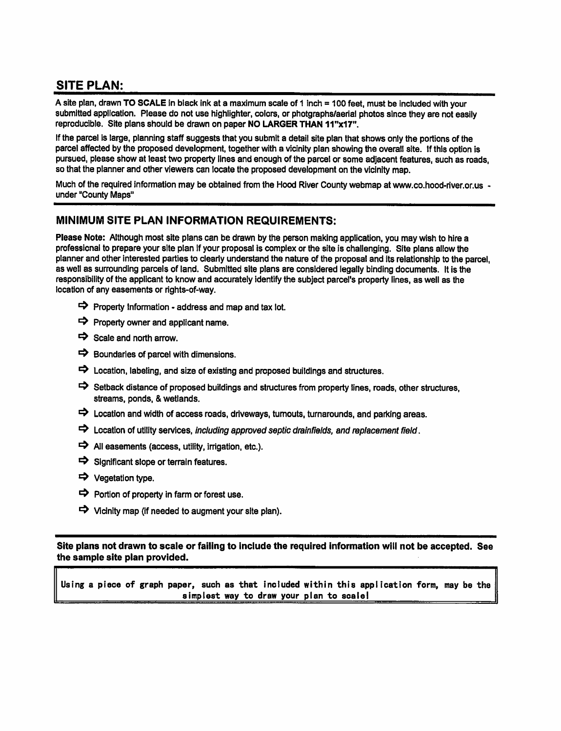# **SITE PLAN:**

A site plan, drawn TO SCALE in black ink at a maximum scale of 1 inch = 100 feet, must be included with your submitted application. Please do not use highlighter, colors, or photgraphs/aerial photos since they are not easily reproducible. Site plans should be drawn on paper NO LARGER THAN 11"x17".

If the parcel is large, planning staff suggests that you submit a detail site plan that shows only the portions of the parcel affected by the proposed development, together with a vicinity plan showing the overall site. If this option is pursued, please show at least two property lines and enough of the parcel or some adjacent features, such as roads, so that the planner and other viewers can locate the proposed development on the vicinity map.

Much of the required information may be obtained from the Hood River County webmap at www.co.hood-river.or.us under "County Maps"

#### MINIMUM SITE PLAN INFORMATION REQUIREMENTS:

Please Note: Although most site plans can be drawn by the person making application, you may wish to hire a professional to prepare your site plan if your proposal is complex or the site is challenging. Site plans allow the planner and other interested parties to clearly understand the nature of the proposal and its relationship to the parcel. as well as surrounding parcels of land. Submitted site plans are considered legally binding documents. It is the responsibility of the applicant to know and accurately identify the subject parcel's property lines, as well as the location of any easements or rights-of-way.

- $\Rightarrow$  Property Information address and map and tax lot.
- $\Rightarrow$  Property owner and applicant name.
- $\Rightarrow$  Scale and north arrow.
- $\Rightarrow$  Boundaries of parcel with dimensions.
- $\Rightarrow$  Location, labeling, and size of existing and proposed buildings and structures.
- Setback distance of proposed buildings and structures from property lines, roads, other structures, streams, ponds, & wetlands.
- $\Rightarrow$  Location and width of access roads, driveways, turnouts, turnarounds, and parking areas.
- $\Rightarrow$  Location of utility services, including approved septic drainfields, and replacement field.
- $\Rightarrow$  All easements (access, utility, irrigation, etc.).
- $\Rightarrow$  Significant slope or terrain features.
- → Vegetation type.
- $\Rightarrow$  Portion of property in farm or forest use.
- $\Rightarrow$  Vicinity map (if needed to augment your site plan).

Site plans not drawn to scale or failing to include the required information will not be accepted. See the sample site plan provided.

Using a piece of graph paper, such as that included within this application form, may be the simplest way to draw your plan to scale!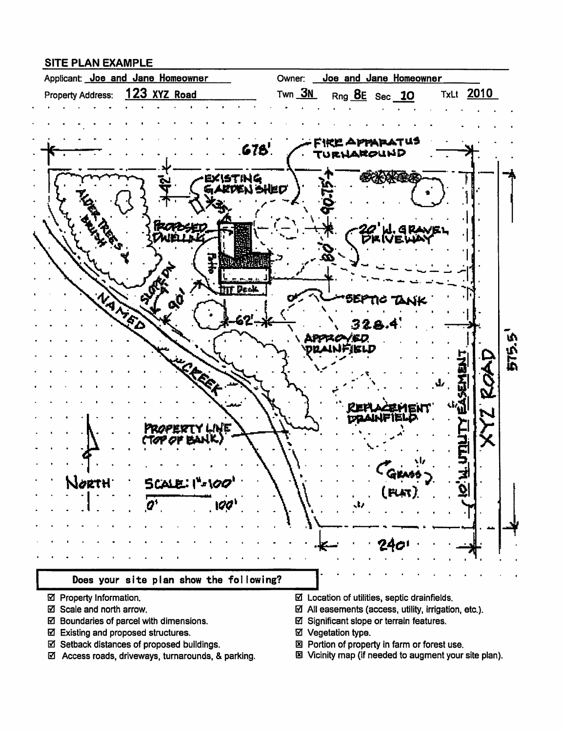#### **SITE PLAN EXAMPLE**



- ☑ Property Information.
- ☑ Scale and north arrow.
- ☑ Boundaries of parcel with dimensions.
- ☑ Existing and proposed structures.
- ☑ Setback distances of proposed buildings.
- ☑ Access roads, driveways, turnarounds, & parking.
- $\boxtimes$  Location of utilities, septic drainfields.
- $\boxtimes$  All easements (access, utility, irrigation, etc.).
- ☑ Significant slope or terrain features.
- ☑ Vegetation type.
- 図 Portion of property in farm or forest use.
- 图 Vicinity map (if needed to augment your site plan).